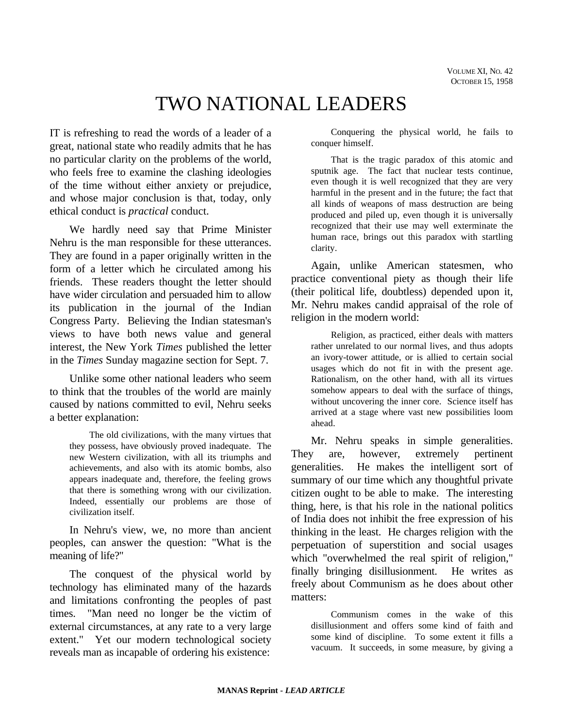# TWO NATIONAL LEADERS

IT is refreshing to read the words of a leader of a great, national state who readily admits that he has no particular clarity on the problems of the world, who feels free to examine the clashing ideologies of the time without either anxiety or prejudice, and whose major conclusion is that, today, only ethical conduct is *practical* conduct.

We hardly need say that Prime Minister Nehru is the man responsible for these utterances. They are found in a paper originally written in the form of a letter which he circulated among his friends. These readers thought the letter should have wider circulation and persuaded him to allow its publication in the journal of the Indian Congress Party. Believing the Indian statesman's views to have both news value and general interest, the New York *Times* published the letter in the *Times* Sunday magazine section for Sept. 7.

Unlike some other national leaders who seem to think that the troubles of the world are mainly caused by nations committed to evil, Nehru seeks a better explanation:

The old civilizations, with the many virtues that they possess, have obviously proved inadequate. The new Western civilization, with all its triumphs and achievements, and also with its atomic bombs, also appears inadequate and, therefore, the feeling grows that there is something wrong with our civilization. Indeed, essentially our problems are those of civilization itself.

In Nehru's view, we, no more than ancient peoples, can answer the question: "What is the meaning of life?"

The conquest of the physical world by technology has eliminated many of the hazards and limitations confronting the peoples of past times. "Man need no longer be the victim of external circumstances, at any rate to a very large extent." Yet our modern technological society reveals man as incapable of ordering his existence:

Conquering the physical world, he fails to conquer himself.

That is the tragic paradox of this atomic and sputnik age. The fact that nuclear tests continue, even though it is well recognized that they are very harmful in the present and in the future; the fact that all kinds of weapons of mass destruction are being produced and piled up, even though it is universally recognized that their use may well exterminate the human race, brings out this paradox with startling clarity.

Again, unlike American statesmen, who practice conventional piety as though their life (their political life, doubtless) depended upon it, Mr. Nehru makes candid appraisal of the role of religion in the modern world:

Religion, as practiced, either deals with matters rather unrelated to our normal lives, and thus adopts an ivory-tower attitude, or is allied to certain social usages which do not fit in with the present age. Rationalism, on the other hand, with all its virtues somehow appears to deal with the surface of things, without uncovering the inner core. Science itself has arrived at a stage where vast new possibilities loom ahead.

Mr. Nehru speaks in simple generalities. They are, however, extremely pertinent generalities. He makes the intelligent sort of summary of our time which any thoughtful private citizen ought to be able to make. The interesting thing, here, is that his role in the national politics of India does not inhibit the free expression of his thinking in the least. He charges religion with the perpetuation of superstition and social usages which "overwhelmed the real spirit of religion," finally bringing disillusionment. He writes as freely about Communism as he does about other matters:

Communism comes in the wake of this disillusionment and offers some kind of faith and some kind of discipline. To some extent it fills a vacuum. It succeeds, in some measure, by giving a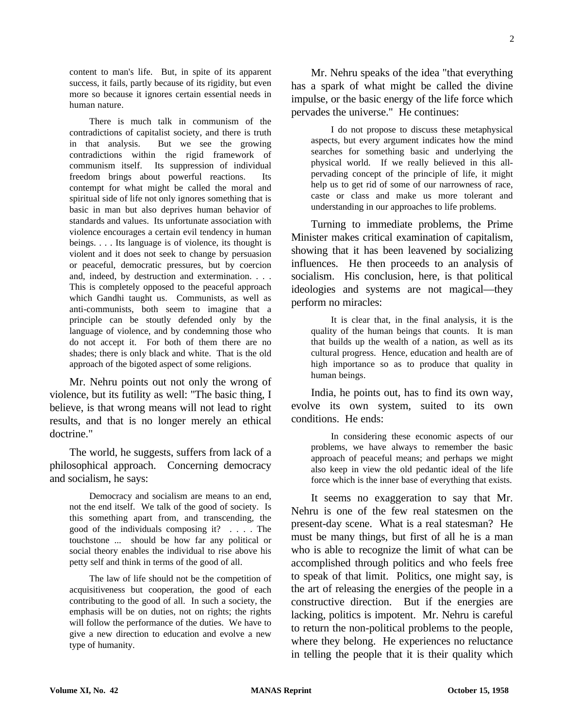content to man's life. But, in spite of its apparent success, it fails, partly because of its rigidity, but even more so because it ignores certain essential needs in human nature.

There is much talk in communism of the contradictions of capitalist society, and there is truth in that analysis. But we see the growing contradictions within the rigid framework of communism itself. Its suppression of individual freedom brings about powerful reactions. Its contempt for what might be called the moral and spiritual side of life not only ignores something that is basic in man but also deprives human behavior of standards and values. Its unfortunate association with violence encourages a certain evil tendency in human beings. . . . Its language is of violence, its thought is violent and it does not seek to change by persuasion or peaceful, democratic pressures, but by coercion and, indeed, by destruction and extermination. . . . This is completely opposed to the peaceful approach which Gandhi taught us. Communists, as well as anti-communists, both seem to imagine that a principle can be stoutly defended only by the language of violence, and by condemning those who do not accept it. For both of them there are no shades; there is only black and white. That is the old approach of the bigoted aspect of some religions.

Mr. Nehru points out not only the wrong of violence, but its futility as well: "The basic thing, I believe, is that wrong means will not lead to right results, and that is no longer merely an ethical doctrine."

The world, he suggests, suffers from lack of a philosophical approach. Concerning democracy and socialism, he says:

Democracy and socialism are means to an end, not the end itself. We talk of the good of society. Is this something apart from, and transcending, the good of the individuals composing it? . . . . The touchstone ... should be how far any political or social theory enables the individual to rise above his petty self and think in terms of the good of all.

The law of life should not be the competition of acquisitiveness but cooperation, the good of each contributing to the good of all. In such a society, the emphasis will be on duties, not on rights; the rights will follow the performance of the duties. We have to give a new direction to education and evolve a new type of humanity.

Mr. Nehru speaks of the idea "that everything has a spark of what might be called the divine impulse, or the basic energy of the life force which pervades the universe." He continues:

I do not propose to discuss these metaphysical aspects, but every argument indicates how the mind searches for something basic and underlying the physical world. If we really believed in this allpervading concept of the principle of life, it might help us to get rid of some of our narrowness of race. caste or class and make us more tolerant and understanding in our approaches to life problems.

Turning to immediate problems, the Prime Minister makes critical examination of capitalism, showing that it has been leavened by socializing influences. He then proceeds to an analysis of socialism. His conclusion, here, is that political ideologies and systems are not magical—they perform no miracles:

It is clear that, in the final analysis, it is the quality of the human beings that counts. It is man that builds up the wealth of a nation, as well as its cultural progress. Hence, education and health are of high importance so as to produce that quality in human beings.

India, he points out, has to find its own way, evolve its own system, suited to its own conditions. He ends:

In considering these economic aspects of our problems, we have always to remember the basic approach of peaceful means; and perhaps we might also keep in view the old pedantic ideal of the life force which is the inner base of everything that exists.

It seems no exaggeration to say that Mr. Nehru is one of the few real statesmen on the present-day scene. What is a real statesman? He must be many things, but first of all he is a man who is able to recognize the limit of what can be accomplished through politics and who feels free to speak of that limit. Politics, one might say, is the art of releasing the energies of the people in a constructive direction. But if the energies are lacking, politics is impotent. Mr. Nehru is careful to return the non-political problems to the people, where they belong. He experiences no reluctance in telling the people that it is their quality which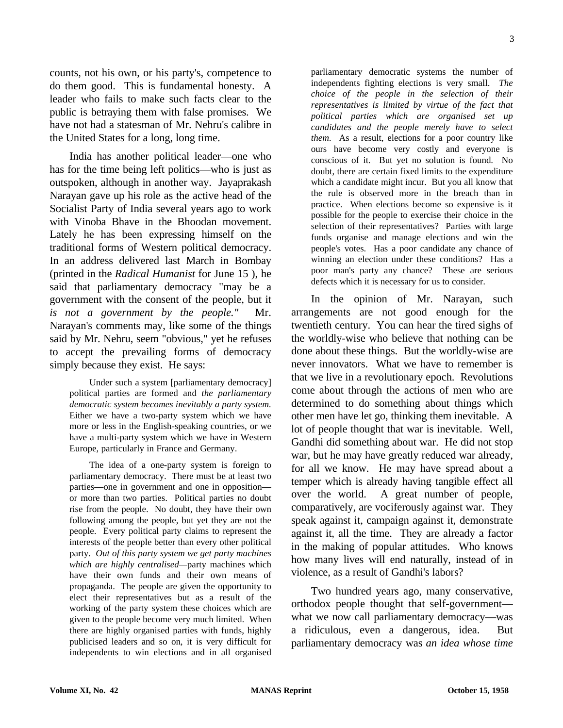counts, not his own, or his party's, competence to do them good. This is fundamental honesty. A leader who fails to make such facts clear to the public is betraying them with false promises. We have not had a statesman of Mr. Nehru's calibre in the United States for a long, long time.

India has another political leader—one who has for the time being left politics—who is just as outspoken, although in another way. Jayaprakash Narayan gave up his role as the active head of the Socialist Party of India several years ago to work with Vinoba Bhave in the Bhoodan movement. Lately he has been expressing himself on the traditional forms of Western political democracy. In an address delivered last March in Bombay (printed in the *Radical Humanist* for June 15 ), he said that parliamentary democracy "may be a government with the consent of the people, but it *is not a government by the people."* Mr. Narayan's comments may, like some of the things said by Mr. Nehru, seem "obvious," yet he refuses to accept the prevailing forms of democracy simply because they exist. He says:

Under such a system [parliamentary democracy] political parties are formed and *the parliamentary democratic system becomes inevitably a party system.* Either we have a two-party system which we have more or less in the English-speaking countries, or we have a multi-party system which we have in Western Europe, particularly in France and Germany.

The idea of a one-party system is foreign to parliamentary democracy. There must be at least two parties—one in government and one in opposition or more than two parties. Political parties no doubt rise from the people. No doubt, they have their own following among the people, but yet they are not the people. Every political party claims to represent the interests of the people better than every other political party. *Out of this party system we get party machines which are highly centralised—*party machines which have their own funds and their own means of propaganda. The people are given the opportunity to elect their representatives but as a result of the working of the party system these choices which are given to the people become very much limited. When there are highly organised parties with funds, highly publicised leaders and so on, it is very difficult for independents to win elections and in all organised

parliamentary democratic systems the number of independents fighting elections is very small. *The choice of the people in the selection of their representatives is limited by virtue of the fact that political parties which are organised set up candidates and the people merely have to select them.* As a result, elections for a poor country like ours have become very costly and everyone is conscious of it. But yet no solution is found. No doubt, there are certain fixed limits to the expenditure which a candidate might incur. But you all know that the rule is observed more in the breach than in practice. When elections become so expensive is it possible for the people to exercise their choice in the selection of their representatives? Parties with large funds organise and manage elections and win the people's votes. Has a poor candidate any chance of winning an election under these conditions? Has a poor man's party any chance? These are serious defects which it is necessary for us to consider.

In the opinion of Mr. Narayan, such arrangements are not good enough for the twentieth century. You can hear the tired sighs of the worldly-wise who believe that nothing can be done about these things. But the worldly-wise are never innovators. What we have to remember is that we live in a revolutionary epoch. Revolutions come about through the actions of men who are determined to do something about things which other men have let go, thinking them inevitable. A lot of people thought that war is inevitable. Well, Gandhi did something about war. He did not stop war, but he may have greatly reduced war already, for all we know. He may have spread about a temper which is already having tangible effect all over the world. A great number of people, comparatively, are vociferously against war. They speak against it, campaign against it, demonstrate against it, all the time. They are already a factor in the making of popular attitudes. Who knows how many lives will end naturally, instead of in violence, as a result of Gandhi's labors?

Two hundred years ago, many conservative, orthodox people thought that self-government what we now call parliamentary democracy—was a ridiculous, even a dangerous, idea. But parliamentary democracy was *an idea whose time*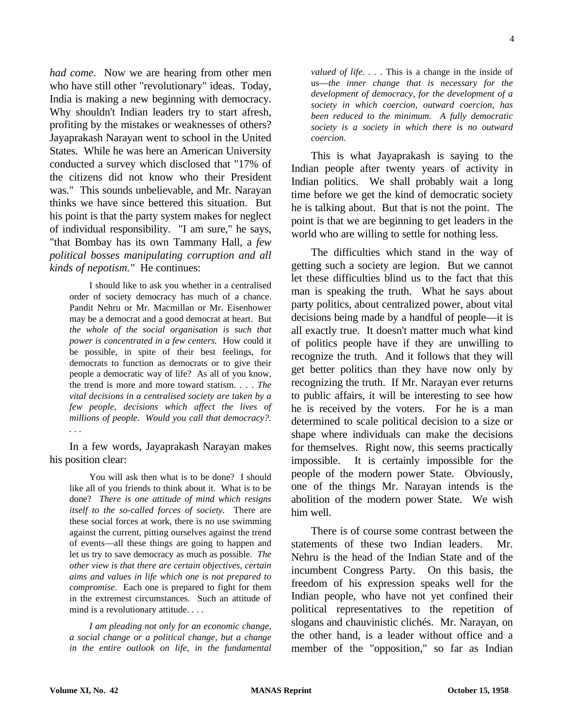*had come.* Now we are hearing from other men who have still other "revolutionary" ideas. Today, India is making a new beginning with democracy. Why shouldn't Indian leaders try to start afresh, profiting by the mistakes or weaknesses of others? Jayaprakash Narayan went to school in the United States. While he was here an American University conducted a survey which disclosed that "17% of the citizens did not know who their President was." This sounds unbelievable, and Mr. Narayan thinks we have since bettered this situation. But his point is that the party system makes for neglect of individual responsibility. "I am sure," he says, "that Bombay has its own Tammany Hall, a *few political bosses manipulating corruption and all kinds of nepotism."* He continues:

I should like to ask you whether in a centralised order of society democracy has much of a chance. Pandit Nehru or Mr. Macmillan or Mr. Eisenhower may be a democrat and a good democrat at heart. But *the whole of the social organisation is such that power is concentrated in a few centers.* How could it be possible, in spite of their best feelings, for democrats to function as democrats or to give their people a democratic way of life? As all of you know, the trend is more and more toward statism. . . . *The vital decisions in a centralised society are taken by a few people, decisions which affect the lives of millions of people. Would you call that democracy?. . . .*

In a few words, Jayaprakash Narayan makes his position clear:

You will ask then what is to be done? I should like all of you friends to think about it. What is to be done? *There is one attitude of mind which resigns itself to the so-called forces of society.* There are these social forces at work, there is no use swimming against the current, pitting ourselves against the trend of events—all these things are going to happen and let us try to save democracy as much as possible. *The other view is that there are certain objectives, certain aims and values in life which one is not prepared to compromise.* Each one is prepared to fight for them in the extremest circumstances. Such an attitude of mind is a revolutionary attitude. . . .

*I am pleading not only for an economic change, a social change or a political change, but a change in the entire outlook on life, in the fundamental*

*valued of life. . . .* This is a change in the inside of us—*the inner change that is necessary for the development of democracy, for the development of a society in which coercion, outward coercion, has been reduced to the minimum. A fully democratic society is a society in which there is no outward coercion.*

This is what Jayaprakash is saying to the Indian people after twenty years of activity in Indian politics. We shall probably wait a long time before we get the kind of democratic society he is talking about. But that is not the point. The point is that we are beginning to get leaders in the world who are willing to settle for nothing less.

The difficulties which stand in the way of getting such a society are legion. But we cannot let these difficulties blind us to the fact that this man is speaking the truth. What he says about party politics, about centralized power, about vital decisions being made by a handful of people—it is all exactly true. It doesn't matter much what kind of politics people have if they are unwilling to recognize the truth. And it follows that they will get better politics than they have now only by recognizing the truth. If Mr. Narayan ever returns to public affairs, it will be interesting to see how he is received by the voters. For he is a man determined to scale political decision to a size or shape where individuals can make the decisions for themselves. Right now, this seems practically impossible. It is certainly impossible for the people of the modern power State. Obviously, one of the things Mr. Narayan intends is the abolition of the modern power State. We wish him well.

There is of course some contrast between the statements of these two Indian leaders. Mr. Nehru is the head of the Indian State and of the incumbent Congress Party. On this basis, the freedom of his expression speaks well for the Indian people, who have not yet confined their political representatives to the repetition of slogans and chauvinistic clichés. Mr. Narayan, on the other hand, is a leader without office and a member of the "opposition," so far as Indian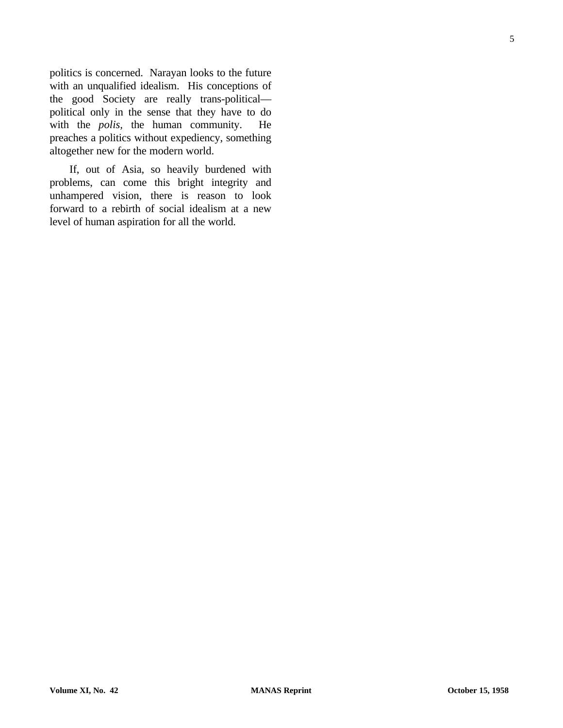politics is concerned. Narayan looks to the future with an unqualified idealism. His conceptions of the good Society are really trans-political political only in the sense that they have to do with the *polis,* the human community. He preaches a politics without expediency, something altogether new for the modern world.

If, out of Asia, so heavily burdened with problems, can come this bright integrity and unhampered vision, there is reason to look forward to a rebirth of social idealism at a new level of human aspiration for all the world.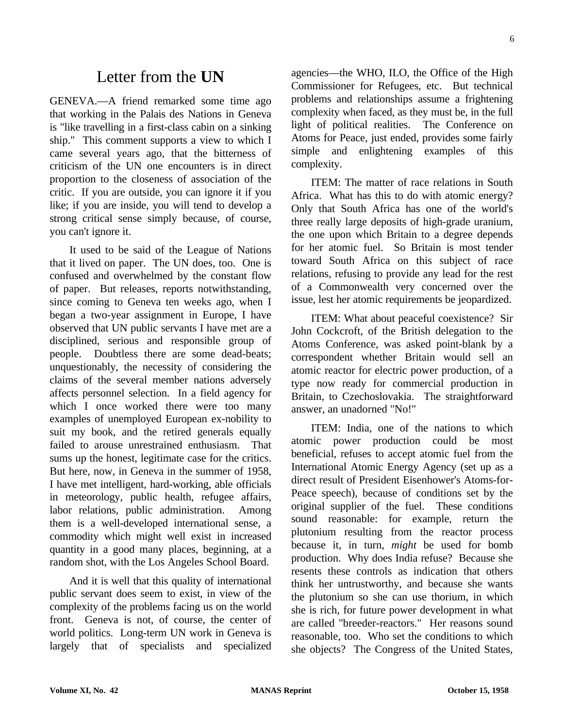# Letter from the **UN**

GENEVA.—A friend remarked some time ago that working in the Palais des Nations in Geneva is "like travelling in a first-class cabin on a sinking ship." This comment supports a view to which I came several years ago, that the bitterness of criticism of the UN one encounters is in direct proportion to the closeness of association of the critic. If you are outside, you can ignore it if you like; if you are inside, you will tend to develop a strong critical sense simply because, of course, you can't ignore it.

It used to be said of the League of Nations that it lived on paper. The UN does, too. One is confused and overwhelmed by the constant flow of paper. But releases, reports notwithstanding, since coming to Geneva ten weeks ago, when I began a two-year assignment in Europe, I have observed that UN public servants I have met are a disciplined, serious and responsible group of people. Doubtless there are some dead-beats; unquestionably, the necessity of considering the claims of the several member nations adversely affects personnel selection. In a field agency for which I once worked there were too many examples of unemployed European ex-nobility to suit my book, and the retired generals equally failed to arouse unrestrained enthusiasm. That sums up the honest, legitimate case for the critics. But here, now, in Geneva in the summer of 1958, I have met intelligent, hard-working, able officials in meteorology, public health, refugee affairs, labor relations, public administration. Among them is a well-developed international sense, a commodity which might well exist in increased quantity in a good many places, beginning, at a random shot, with the Los Angeles School Board.

And it is well that this quality of international public servant does seem to exist, in view of the complexity of the problems facing us on the world front. Geneva is not, of course, the center of world politics. Long-term UN work in Geneva is largely that of specialists and specialized agencies—the WHO, ILO, the Office of the High Commissioner for Refugees, etc. But technical problems and relationships assume a frightening complexity when faced, as they must be, in the full light of political realities. The Conference on Atoms for Peace, just ended, provides some fairly simple and enlightening examples of this complexity.

ITEM: The matter of race relations in South Africa. What has this to do with atomic energy? Only that South Africa has one of the world's three really large deposits of high-grade uranium, the one upon which Britain to a degree depends for her atomic fuel. So Britain is most tender toward South Africa on this subject of race relations, refusing to provide any lead for the rest of a Commonwealth very concerned over the issue, lest her atomic requirements be jeopardized.

ITEM: What about peaceful coexistence? Sir John Cockcroft, of the British delegation to the Atoms Conference, was asked point-blank by a correspondent whether Britain would sell an atomic reactor for electric power production, of a type now ready for commercial production in Britain, to Czechoslovakia. The straightforward answer, an unadorned "No!"

ITEM: India, one of the nations to which atomic power production could be most beneficial, refuses to accept atomic fuel from the International Atomic Energy Agency (set up as a direct result of President Eisenhower's Atoms-for-Peace speech), because of conditions set by the original supplier of the fuel. These conditions sound reasonable: for example, return the plutonium resulting from the reactor process because it, in turn, *might* be used for bomb production. Why does India refuse? Because she resents these controls as indication that others think her untrustworthy, and because she wants the plutonium so she can use thorium, in which she is rich, for future power development in what are called "breeder-reactors." Her reasons sound reasonable, too. Who set the conditions to which she objects? The Congress of the United States,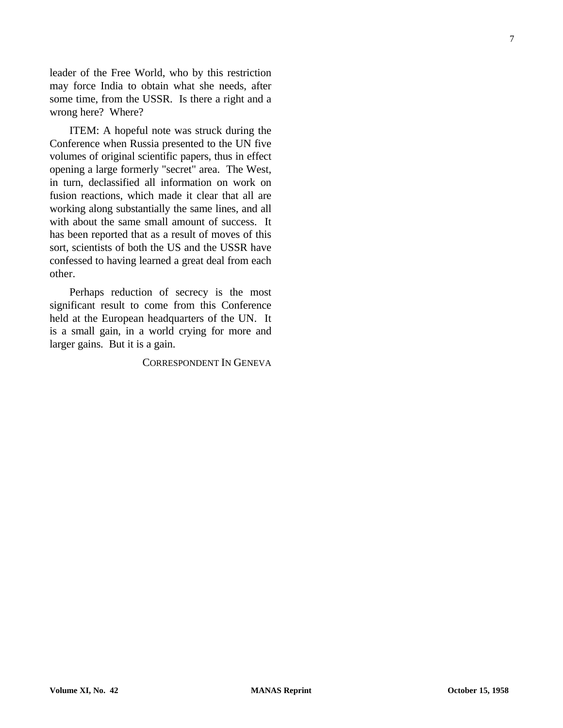leader of the Free World, who by this restriction may force India to obtain what she needs, after some time, from the USSR. Is there a right and a wrong here? Where?

ITEM: A hopeful note was struck during the Conference when Russia presented to the UN five volumes of original scientific papers, thus in effect opening a large formerly "secret" area. The West, in turn, declassified all information on work on fusion reactions, which made it clear that all are working along substantially the same lines, and all with about the same small amount of success. It has been reported that as a result of moves of this sort, scientists of both the US and the USSR have confessed to having learned a great deal from each other.

Perhaps reduction of secrecy is the most significant result to come from this Conference held at the European headquarters of the UN. It is a small gain, in a world crying for more and larger gains. But it is a gain.

#### CORRESPONDENT IN GENEVA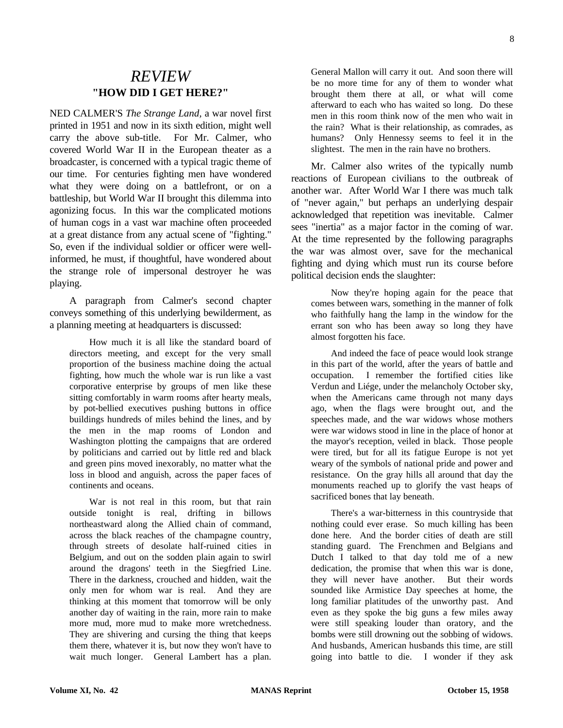### *REVIEW* **"HOW DID I GET HERE?"**

NED CALMER'S *The Strange Land,* a war novel first printed in 1951 and now in its sixth edition, might well carry the above sub-title. For Mr. Calmer, who covered World War II in the European theater as a broadcaster, is concerned with a typical tragic theme of our time. For centuries fighting men have wondered what they were doing on a battlefront, or on a battleship, but World War II brought this dilemma into agonizing focus. In this war the complicated motions of human cogs in a vast war machine often proceeded at a great distance from any actual scene of "fighting." So, even if the individual soldier or officer were wellinformed, he must, if thoughtful, have wondered about the strange role of impersonal destroyer he was playing.

A paragraph from Calmer's second chapter conveys something of this underlying bewilderment, as a planning meeting at headquarters is discussed:

How much it is all like the standard board of directors meeting, and except for the very small proportion of the business machine doing the actual fighting, how much the whole war is run like a vast corporative enterprise by groups of men like these sitting comfortably in warm rooms after hearty meals, by pot-bellied executives pushing buttons in office buildings hundreds of miles behind the lines, and by the men in the map rooms of London and Washington plotting the campaigns that are ordered by politicians and carried out by little red and black and green pins moved inexorably, no matter what the loss in blood and anguish, across the paper faces of continents and oceans.

War is not real in this room, but that rain outside tonight is real, drifting in billows northeastward along the Allied chain of command, across the black reaches of the champagne country, through streets of desolate half-ruined cities in Belgium, and out on the sodden plain again to swirl around the dragons' teeth in the Siegfried Line. There in the darkness, crouched and hidden, wait the only men for whom war is real. And they are thinking at this moment that tomorrow will be only another day of waiting in the rain, more rain to make more mud, more mud to make more wretchedness. They are shivering and cursing the thing that keeps them there, whatever it is, but now they won't have to wait much longer. General Lambert has a plan.

General Mallon will carry it out. And soon there will be no more time for any of them to wonder what brought them there at all, or what will come afterward to each who has waited so long. Do these men in this room think now of the men who wait in the rain? What is their relationship, as comrades, as humans? Only Hennessy seems to feel it in the slightest. The men in the rain have no brothers.

Mr. Calmer also writes of the typically numb reactions of European civilians to the outbreak of another war. After World War I there was much talk of "never again," but perhaps an underlying despair acknowledged that repetition was inevitable. Calmer sees "inertia" as a major factor in the coming of war. At the time represented by the following paragraphs the war was almost over, save for the mechanical fighting and dying which must run its course before political decision ends the slaughter:

Now they're hoping again for the peace that comes between wars, something in the manner of folk who faithfully hang the lamp in the window for the errant son who has been away so long they have almost forgotten his face.

And indeed the face of peace would look strange in this part of the world, after the years of battle and occupation. I remember the fortified cities like Verdun and Liége, under the melancholy October sky, when the Americans came through not many days ago, when the flags were brought out, and the speeches made, and the war widows whose mothers were war widows stood in line in the place of honor at the mayor's reception, veiled in black. Those people were tired, but for all its fatigue Europe is not yet weary of the symbols of national pride and power and resistance. On the gray hills all around that day the monuments reached up to glorify the vast heaps of sacrificed bones that lay beneath.

There's a war-bitterness in this countryside that nothing could ever erase. So much killing has been done here. And the border cities of death are still standing guard. The Frenchmen and Belgians and Dutch I talked to that day told me of a new dedication, the promise that when this war is done, they will never have another. But their words sounded like Armistice Day speeches at home, the long familiar platitudes of the unworthy past. And even as they spoke the big guns a few miles away were still speaking louder than oratory, and the bombs were still drowning out the sobbing of widows. And husbands, American husbands this time, are still going into battle to die. I wonder if they ask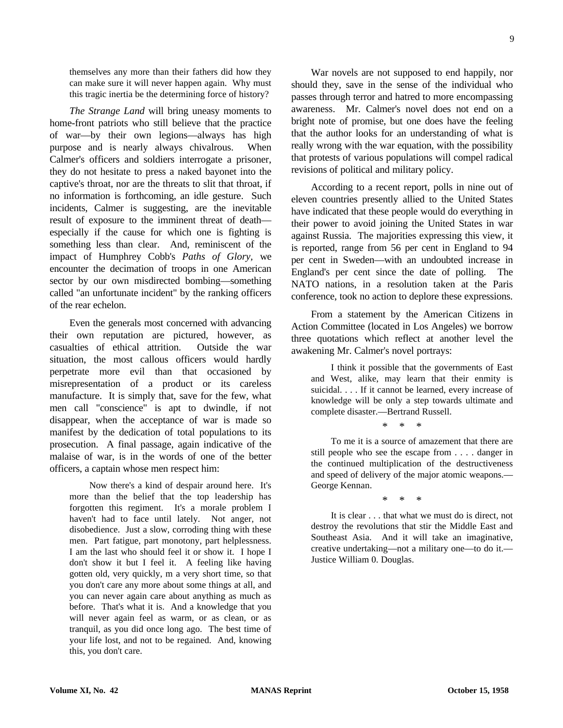themselves any more than their fathers did how they can make sure it will never happen again. Why must this tragic inertia be the determining force of history?

*The Strange Land* will bring uneasy moments to home-front patriots who still believe that the practice of war—by their own legions—always has high purpose and is nearly always chivalrous. When Calmer's officers and soldiers interrogate a prisoner, they do not hesitate to press a naked bayonet into the captive's throat, nor are the threats to slit that throat, if no information is forthcoming, an idle gesture. Such incidents, Calmer is suggesting, are the inevitable result of exposure to the imminent threat of death especially if the cause for which one is fighting is something less than clear. And, reminiscent of the impact of Humphrey Cobb's *Paths of Glory,* we encounter the decimation of troops in one American sector by our own misdirected bombing—something called "an unfortunate incident" by the ranking officers of the rear echelon.

Even the generals most concerned with advancing their own reputation are pictured, however, as casualties of ethical attrition. Outside the war situation, the most callous officers would hardly perpetrate more evil than that occasioned by misrepresentation of a product or its careless manufacture. It is simply that, save for the few, what men call "conscience" is apt to dwindle, if not disappear, when the acceptance of war is made so manifest by the dedication of total populations to its prosecution. A final passage, again indicative of the malaise of war, is in the words of one of the better officers, a captain whose men respect him:

Now there's a kind of despair around here. It's more than the belief that the top leadership has forgotten this regiment. It's a morale problem I haven't had to face until lately. Not anger, not disobedience. Just a slow, corroding thing with these men. Part fatigue, part monotony, part helplessness. I am the last who should feel it or show it. I hope I don't show it but I feel it. A feeling like having gotten old, very quickly, m a very short time, so that you don't care any more about some things at all, and you can never again care about anything as much as before. That's what it is. And a knowledge that you will never again feel as warm, or as clean, or as tranquil, as you did once long ago. The best time of your life lost, and not to be regained. And, knowing this, you don't care.

War novels are not supposed to end happily, nor should they, save in the sense of the individual who passes through terror and hatred to more encompassing awareness. Mr. Calmer's novel does not end on a bright note of promise, but one does have the feeling that the author looks for an understanding of what is really wrong with the war equation, with the possibility that protests of various populations will compel radical revisions of political and military policy.

According to a recent report, polls in nine out of eleven countries presently allied to the United States have indicated that these people would do everything in their power to avoid joining the United States in war against Russia. The majorities expressing this view, it is reported, range from 56 per cent in England to 94 per cent in Sweden—with an undoubted increase in England's per cent since the date of polling. The NATO nations, in a resolution taken at the Paris conference, took no action to deplore these expressions.

From a statement by the American Citizens in Action Committee (located in Los Angeles) we borrow three quotations which reflect at another level the awakening Mr. Calmer's novel portrays:

I think it possible that the governments of East and West, alike, may learn that their enmity is suicidal. . . . If it cannot be learned, every increase of knowledge will be only a step towards ultimate and complete disaster.—Bertrand Russell.

\* \* \*

To me it is a source of amazement that there are still people who see the escape from . . . . danger in the continued multiplication of the destructiveness and speed of delivery of the major atomic weapons.— George Kennan.

\* \* \*

It is clear . . . that what we must do is direct, not destroy the revolutions that stir the Middle East and Southeast Asia. And it will take an imaginative, creative undertaking—not a military one—to do it.— Justice William 0. Douglas.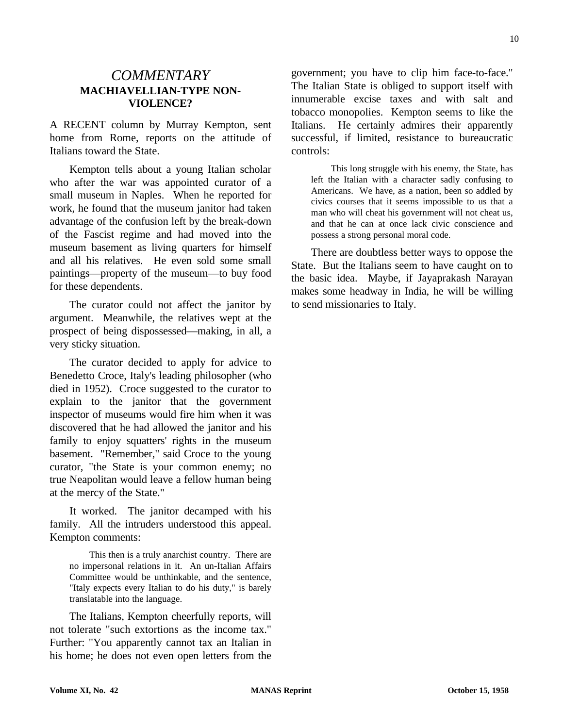#### *COMMENTARY* **MACHIAVELLIAN-TYPE NON-VIOLENCE?**

A RECENT column by Murray Kempton, sent home from Rome, reports on the attitude of Italians toward the State.

Kempton tells about a young Italian scholar who after the war was appointed curator of a small museum in Naples. When he reported for work, he found that the museum janitor had taken advantage of the confusion left by the break-down of the Fascist regime and had moved into the museum basement as living quarters for himself and all his relatives. He even sold some small paintings—property of the museum—to buy food for these dependents.

The curator could not affect the janitor by argument. Meanwhile, the relatives wept at the prospect of being dispossessed—making, in all, a very sticky situation.

The curator decided to apply for advice to Benedetto Croce, Italy's leading philosopher (who died in 1952). Croce suggested to the curator to explain to the janitor that the government inspector of museums would fire him when it was discovered that he had allowed the janitor and his family to enjoy squatters' rights in the museum basement. "Remember," said Croce to the young curator, "the State is your common enemy; no true Neapolitan would leave a fellow human being at the mercy of the State."

It worked. The janitor decamped with his family. All the intruders understood this appeal. Kempton comments:

This then is a truly anarchist country. There are no impersonal relations in it. An un-Italian Affairs Committee would be unthinkable, and the sentence, "Italy expects every Italian to do his duty," is barely translatable into the language.

The Italians, Kempton cheerfully reports, will not tolerate "such extortions as the income tax." Further: "You apparently cannot tax an Italian in his home; he does not even open letters from the

government; you have to clip him face-to-face." The Italian State is obliged to support itself with innumerable excise taxes and with salt and tobacco monopolies. Kempton seems to like the Italians. He certainly admires their apparently successful, if limited, resistance to bureaucratic controls:

This long struggle with his enemy, the State, has left the Italian with a character sadly confusing to Americans. We have, as a nation, been so addled by civics courses that it seems impossible to us that a man who will cheat his government will not cheat us, and that he can at once lack civic conscience and possess a strong personal moral code.

There are doubtless better ways to oppose the State. But the Italians seem to have caught on to the basic idea. Maybe, if Jayaprakash Narayan makes some headway in India, he will be willing to send missionaries to Italy.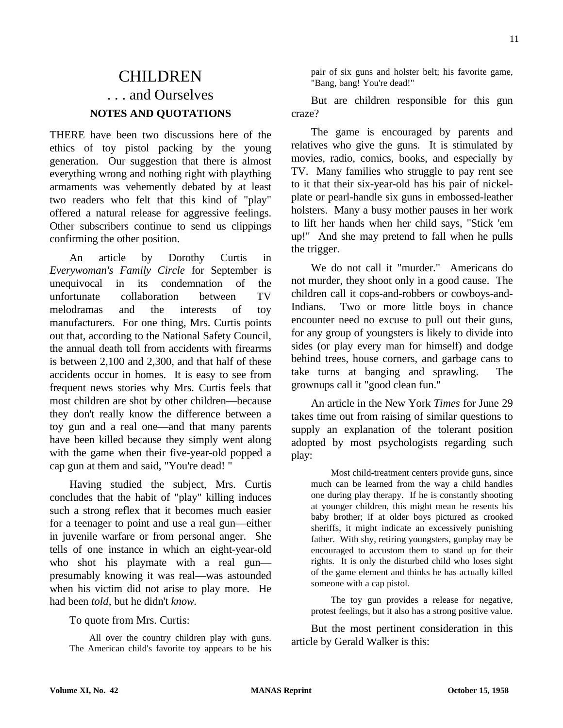# CHILDREN . . . and Ourselves **NOTES AND QUOTATIONS**

THERE have been two discussions here of the ethics of toy pistol packing by the young generation. Our suggestion that there is almost everything wrong and nothing right with plaything armaments was vehemently debated by at least two readers who felt that this kind of "play" offered a natural release for aggressive feelings. Other subscribers continue to send us clippings confirming the other position.

An article by Dorothy Curtis in *Everywoman's Family Circle* for September is unequivocal in its condemnation of the unfortunate collaboration between TV melodramas and the interests of toy manufacturers. For one thing, Mrs. Curtis points out that, according to the National Safety Council, the annual death toll from accidents with firearms is between 2,100 and 2,300, and that half of these accidents occur in homes. It is easy to see from frequent news stories why Mrs. Curtis feels that most children are shot by other children—because they don't really know the difference between a toy gun and a real one—and that many parents have been killed because they simply went along with the game when their five-year-old popped a cap gun at them and said, "You're dead! "

Having studied the subject, Mrs. Curtis concludes that the habit of "play" killing induces such a strong reflex that it becomes much easier for a teenager to point and use a real gun—either in juvenile warfare or from personal anger. She tells of one instance in which an eight-year-old who shot his playmate with a real gun presumably knowing it was real—was astounded when his victim did not arise to play more. He had been *told,* but he didn't *know.*

#### To quote from Mrs. Curtis:

All over the country children play with guns. The American child's favorite toy appears to be his pair of six guns and holster belt; his favorite game, "Bang, bang! You're dead!"

But are children responsible for this gun craze?

The game is encouraged by parents and relatives who give the guns. It is stimulated by movies, radio, comics, books, and especially by TV. Many families who struggle to pay rent see to it that their six-year-old has his pair of nickelplate or pearl-handle six guns in embossed-leather holsters. Many a busy mother pauses in her work to lift her hands when her child says, "Stick 'em up!" And she may pretend to fall when he pulls the trigger.

We do not call it "murder." Americans do not murder, they shoot only in a good cause. The children call it cops-and-robbers or cowboys-and-Indians. Two or more little boys in chance encounter need no excuse to pull out their guns, for any group of youngsters is likely to divide into sides (or play every man for himself) and dodge behind trees, house corners, and garbage cans to take turns at banging and sprawling. The grownups call it "good clean fun."

An article in the New York *Times* for June 29 takes time out from raising of similar questions to supply an explanation of the tolerant position adopted by most psychologists regarding such play:

Most child-treatment centers provide guns, since much can be learned from the way a child handles one during play therapy. If he is constantly shooting at younger children, this might mean he resents his baby brother; if at older boys pictured as crooked sheriffs, it might indicate an excessively punishing father. With shy, retiring youngsters, gunplay may be encouraged to accustom them to stand up for their rights. It is only the disturbed child who loses sight of the game element and thinks he has actually killed someone with a cap pistol.

The toy gun provides a release for negative, protest feelings, but it also has a strong positive value.

But the most pertinent consideration in this article by Gerald Walker is this: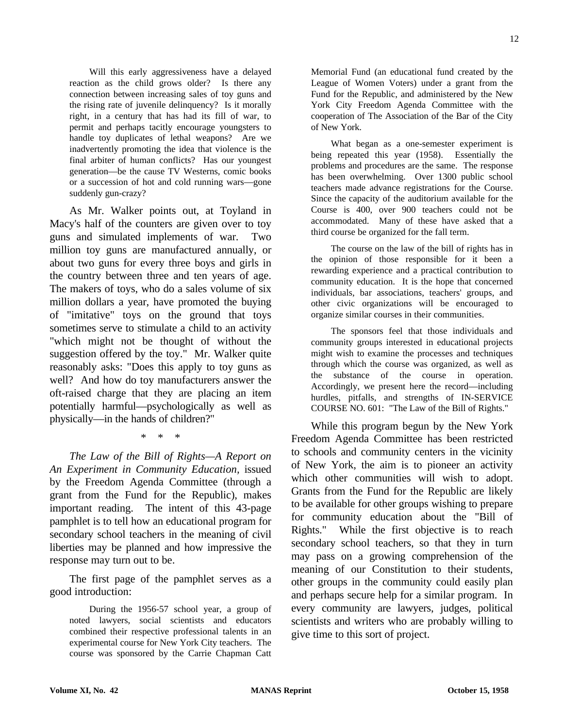Will this early aggressiveness have a delayed reaction as the child grows older? Is there any connection between increasing sales of toy guns and the rising rate of juvenile delinquency? Is it morally right, in a century that has had its fill of war, to permit and perhaps tacitly encourage youngsters to handle toy duplicates of lethal weapons? Are we inadvertently promoting the idea that violence is the final arbiter of human conflicts? Has our youngest generation—be the cause TV Westerns, comic books or a succession of hot and cold running wars—gone suddenly gun-crazy?

As Mr. Walker points out, at Toyland in Macy's half of the counters are given over to toy guns and simulated implements of war. Two million toy guns are manufactured annually, or about two guns for every three boys and girls in the country between three and ten years of age. The makers of toys, who do a sales volume of six million dollars a year, have promoted the buying of "imitative" toys on the ground that toys sometimes serve to stimulate a child to an activity "which might not be thought of without the suggestion offered by the toy." Mr. Walker quite reasonably asks: "Does this apply to toy guns as well? And how do toy manufacturers answer the oft-raised charge that they are placing an item potentially harmful—psychologically as well as physically—in the hands of children?"

\* \* \*

*The Law of the Bill of Rights—A Report on An Experiment in Community Education,* issued by the Freedom Agenda Committee (through a grant from the Fund for the Republic), makes important reading. The intent of this 43-page pamphlet is to tell how an educational program for secondary school teachers in the meaning of civil liberties may be planned and how impressive the response may turn out to be.

The first page of the pamphlet serves as a good introduction:

During the 1956-57 school year, a group of noted lawyers, social scientists and educators combined their respective professional talents in an experimental course for New York City teachers. The course was sponsored by the Carrie Chapman Catt

Memorial Fund (an educational fund created by the League of Women Voters) under a grant from the Fund for the Republic, and administered by the New York City Freedom Agenda Committee with the cooperation of The Association of the Bar of the City of New York.

What began as a one-semester experiment is being repeated this year (1958). Essentially the problems and procedures are the same. The response has been overwhelming. Over 1300 public school teachers made advance registrations for the Course. Since the capacity of the auditorium available for the Course is 400, over 900 teachers could not be accommodated. Many of these have asked that a third course be organized for the fall term.

The course on the law of the bill of rights has in the opinion of those responsible for it been a rewarding experience and a practical contribution to community education. It is the hope that concerned individuals, bar associations, teachers' groups, and other civic organizations will be encouraged to organize similar courses in their communities.

The sponsors feel that those individuals and community groups interested in educational projects might wish to examine the processes and techniques through which the course was organized, as well as the substance of the course in operation. Accordingly, we present here the record—including hurdles, pitfalls, and strengths of IN-SERVICE COURSE NO. 601: "The Law of the Bill of Rights."

While this program begun by the New York Freedom Agenda Committee has been restricted to schools and community centers in the vicinity of New York, the aim is to pioneer an activity which other communities will wish to adopt. Grants from the Fund for the Republic are likely to be available for other groups wishing to prepare for community education about the "Bill of Rights." While the first objective is to reach secondary school teachers, so that they in turn may pass on a growing comprehension of the meaning of our Constitution to their students, other groups in the community could easily plan and perhaps secure help for a similar program. In every community are lawyers, judges, political scientists and writers who are probably willing to give time to this sort of project.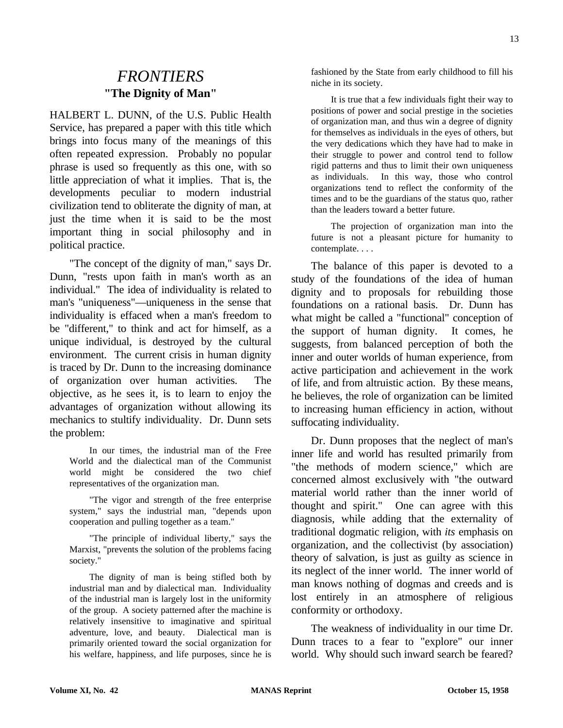## *FRONTIERS* **"The Dignity of Man"**

HALBERT L. DUNN, of the U.S. Public Health Service, has prepared a paper with this title which brings into focus many of the meanings of this often repeated expression. Probably no popular phrase is used so frequently as this one, with so little appreciation of what it implies. That is, the developments peculiar to modern industrial civilization tend to obliterate the dignity of man, at just the time when it is said to be the most important thing in social philosophy and in political practice.

"The concept of the dignity of man," says Dr. Dunn, "rests upon faith in man's worth as an individual." The idea of individuality is related to man's "uniqueness"—uniqueness in the sense that individuality is effaced when a man's freedom to be "different," to think and act for himself, as a unique individual, is destroyed by the cultural environment. The current crisis in human dignity is traced by Dr. Dunn to the increasing dominance of organization over human activities. The objective, as he sees it, is to learn to enjoy the advantages of organization without allowing its mechanics to stultify individuality. Dr. Dunn sets the problem:

In our times, the industrial man of the Free World and the dialectical man of the Communist world might be considered the two chief representatives of the organization man.

"The vigor and strength of the free enterprise system," says the industrial man, "depends upon cooperation and pulling together as a team."

"The principle of individual liberty," says the Marxist, "prevents the solution of the problems facing society."

The dignity of man is being stifled both by industrial man and by dialectical man. Individuality of the industrial man is largely lost in the uniformity of the group. A society patterned after the machine is relatively insensitive to imaginative and spiritual adventure, love, and beauty. Dialectical man is primarily oriented toward the social organization for his welfare, happiness, and life purposes, since he is

fashioned by the State from early childhood to fill his niche in its society.

It is true that a few individuals fight their way to positions of power and social prestige in the societies of organization man, and thus win a degree of dignity for themselves as individuals in the eyes of others, but the very dedications which they have had to make in their struggle to power and control tend to follow rigid patterns and thus to limit their own uniqueness as individuals. In this way, those who control organizations tend to reflect the conformity of the times and to be the guardians of the status quo, rather than the leaders toward a better future.

The projection of organization man into the future is not a pleasant picture for humanity to contemplate. . . .

The balance of this paper is devoted to a study of the foundations of the idea of human dignity and to proposals for rebuilding those foundations on a rational basis. Dr. Dunn has what might be called a "functional" conception of the support of human dignity. It comes, he suggests, from balanced perception of both the inner and outer worlds of human experience, from active participation and achievement in the work of life, and from altruistic action. By these means, he believes, the role of organization can be limited to increasing human efficiency in action, without suffocating individuality.

Dr. Dunn proposes that the neglect of man's inner life and world has resulted primarily from "the methods of modern science," which are concerned almost exclusively with "the outward material world rather than the inner world of thought and spirit." One can agree with this diagnosis, while adding that the externality of traditional dogmatic religion, with *its* emphasis on organization, and the collectivist (by association) theory of salvation, is just as guilty as science in its neglect of the inner world. The inner world of man knows nothing of dogmas and creeds and is lost entirely in an atmosphere of religious conformity or orthodoxy.

The weakness of individuality in our time Dr. Dunn traces to a fear to "explore" our inner world. Why should such inward search be feared?